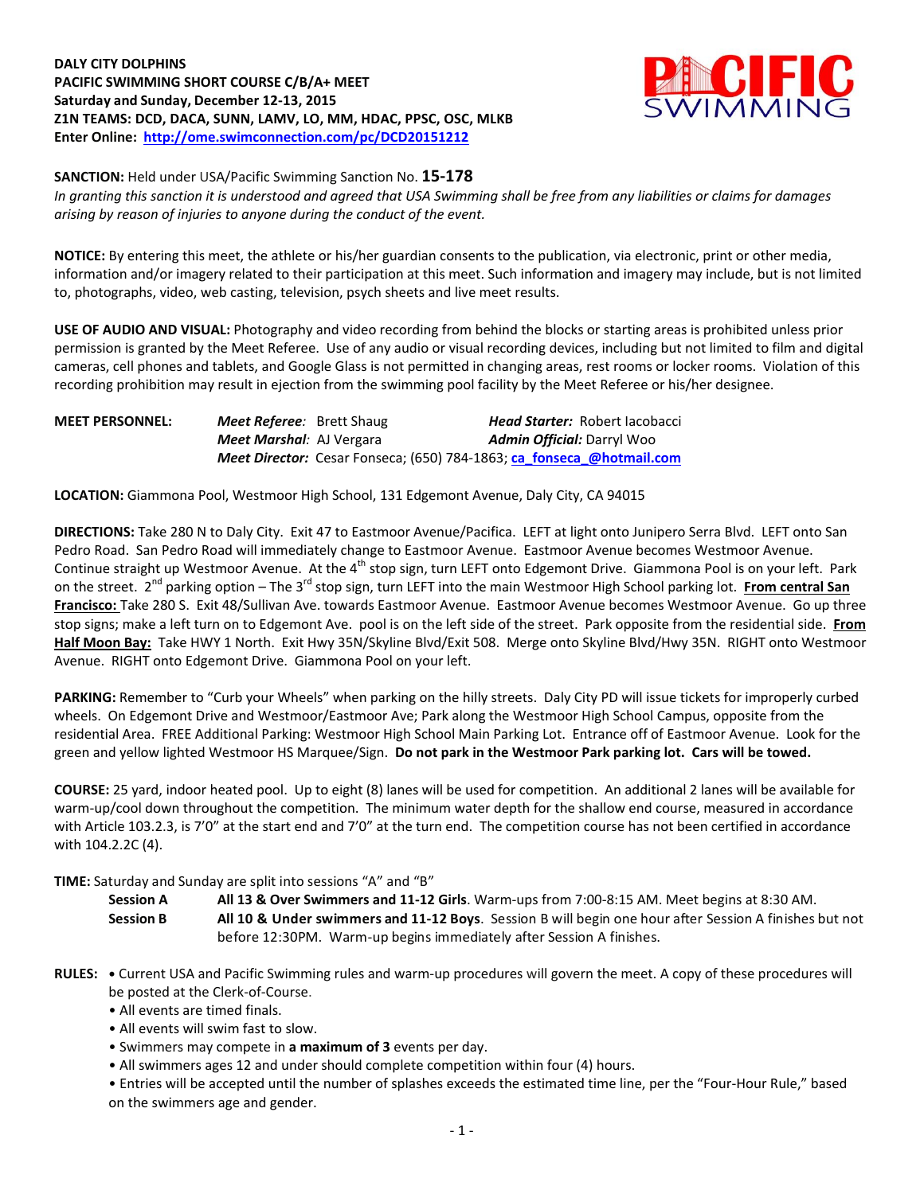**DALY CITY DOLPHINS PACIFIC SWIMMING SHORT COURSE C/B/A+ MEET Saturday and Sunday, December 12-13, 2015 Z1N TEAMS: DCD, DACA, SUNN, LAMV, LO, MM, HDAC, PPSC, OSC, MLKB Enter Online: <http://ome.swimconnection.com/pc/DCD20151212>**



**SANCTION:** Held under USA/Pacific Swimming Sanction No. **15-178**

*In granting this sanction it is understood and agreed that USA Swimming shall be free from any liabilities or claims for damages arising by reason of injuries to anyone during the conduct of the event.*

**NOTICE:** By entering this meet, the athlete or his/her guardian consents to the publication, via electronic, print or other media, information and/or imagery related to their participation at this meet. Such information and imagery may include, but is not limited to, photographs, video, web casting, television, psych sheets and live meet results.

**USE OF AUDIO AND VISUAL:** Photography and video recording from behind the blocks or starting areas is prohibited unless prior permission is granted by the Meet Referee. Use of any audio or visual recording devices, including but not limited to film and digital cameras, cell phones and tablets, and Google Glass is not permitted in changing areas, rest rooms or locker rooms. Violation of this recording prohibition may result in ejection from the swimming pool facility by the Meet Referee or his/her designee.

| <b>MEET PERSONNEL:</b> | <b>Meet Referee:</b> Brett Shaug | <b>Head Starter: Robert Jacobacci</b>                                 |
|------------------------|----------------------------------|-----------------------------------------------------------------------|
|                        | <b>Meet Marshal</b> : AJ Vergara | <b>Admin Official:</b> Darryl Woo                                     |
|                        |                                  | Meet Director: Cesar Fonseca; (650) 784-1863; ca fonseca @hotmail.com |

**LOCATION:** Giammona Pool, Westmoor High School, 131 Edgemont Avenue, Daly City, CA 94015

**DIRECTIONS:** Take 280 N to Daly City. Exit 47 to Eastmoor Avenue/Pacifica. LEFT at light onto Junipero Serra Blvd. LEFT onto San Pedro Road. San Pedro Road will immediately change to Eastmoor Avenue. Eastmoor Avenue becomes Westmoor Avenue. Continue straight up Westmoor Avenue. At the 4<sup>th</sup> stop sign, turn LEFT onto Edgemont Drive. Giammona Pool is on your left. Park on the street. 2<sup>nd</sup> parking option – The 3<sup>rd</sup> stop sign, turn LEFT into the main Westmoor High School parking lot. From central San **Francisco:** Take 280 S. Exit 48/Sullivan Ave. towards Eastmoor Avenue. Eastmoor Avenue becomes Westmoor Avenue. Go up three stop signs; make a left turn on to Edgemont Ave. pool is on the left side of the street. Park opposite from the residential side. **From Half Moon Bay:** Take HWY 1 North. Exit Hwy 35N/Skyline Blvd/Exit 508. Merge onto Skyline Blvd/Hwy 35N. RIGHT onto Westmoor Avenue. RIGHT onto Edgemont Drive. Giammona Pool on your left.

**PARKING:** Remember to "Curb your Wheels" when parking on the hilly streets. Daly City PD will issue tickets for improperly curbed wheels. On Edgemont Drive and Westmoor/Eastmoor Ave; Park along the Westmoor High School Campus, opposite from the residential Area. FREE Additional Parking: Westmoor High School Main Parking Lot. Entrance off of Eastmoor Avenue. Look for the green and yellow lighted Westmoor HS Marquee/Sign. **Do not park in the Westmoor Park parking lot. Cars will be towed.**

**COURSE:** 25 yard, indoor heated pool. Up to eight (8) lanes will be used for competition. An additional 2 lanes will be available for warm-up/cool down throughout the competition. The minimum water depth for the shallow end course, measured in accordance with Article 103.2.3, is 7'0" at the start end and 7'0" at the turn end. The competition course has not been certified in accordance with 104.2.2C (4).

## **TIME:** Saturday and Sunday are split into sessions "A" and "B"

**Session A All 13 & Over Swimmers and 11-12 Girls**. Warm-ups from 7:00-8:15 AM. Meet begins at 8:30 AM.

**Session B All 10 & Under swimmers and 11-12 Boys**. Session B will begin one hour after Session A finishes but not before 12:30PM. Warm-up begins immediately after Session A finishes.

- **RULES: •** Current USA and Pacific Swimming rules and warm-up procedures will govern the meet. A copy of these procedures will be posted at the Clerk-of-Course.
	- All events are timed finals.
	- All events will swim fast to slow.
	- Swimmers may compete in **a maximum of 3** events per day.
	- All swimmers ages 12 and under should complete competition within four (4) hours.
	- Entries will be accepted until the number of splashes exceeds the estimated time line, per the "Four-Hour Rule," based on the swimmers age and gender.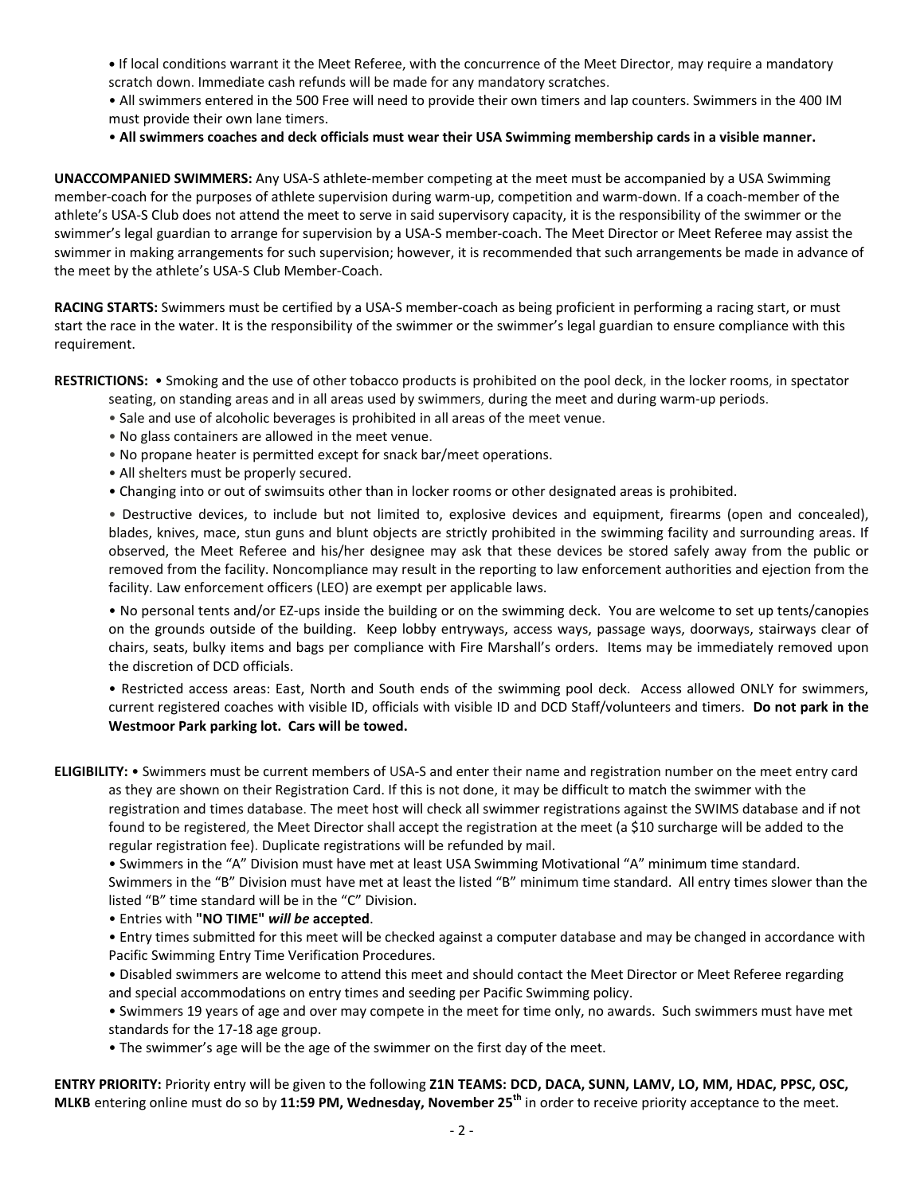**•** If local conditions warrant it the Meet Referee, with the concurrence of the Meet Director, may require a mandatory scratch down. Immediate cash refunds will be made for any mandatory scratches.

• All swimmers entered in the 500 Free will need to provide their own timers and lap counters. Swimmers in the 400 IM must provide their own lane timers.

• **All swimmers coaches and deck officials must wear their USA Swimming membership cards in a visible manner.** 

**UNACCOMPANIED SWIMMERS:** Any USA-S athlete-member competing at the meet must be accompanied by a USA Swimming member-coach for the purposes of athlete supervision during warm-up, competition and warm-down. If a coach-member of the athlete's USA-S Club does not attend the meet to serve in said supervisory capacity, it is the responsibility of the swimmer or the swimmer's legal guardian to arrange for supervision by a USA-S member-coach. The Meet Director or Meet Referee may assist the swimmer in making arrangements for such supervision; however, it is recommended that such arrangements be made in advance of the meet by the athlete's USA-S Club Member-Coach.

**RACING STARTS:** Swimmers must be certified by a USA-S member-coach as being proficient in performing a racing start, or must start the race in the water. It is the responsibility of the swimmer or the swimmer's legal guardian to ensure compliance with this requirement.

**RESTRICTIONS:** • Smoking and the use of other tobacco products is prohibited on the pool deck, in the locker rooms, in spectator seating, on standing areas and in all areas used by swimmers, during the meet and during warm-up periods.

- Sale and use of alcoholic beverages is prohibited in all areas of the meet venue.
- No glass containers are allowed in the meet venue.
- No propane heater is permitted except for snack bar/meet operations.
- All shelters must be properly secured.
- Changing into or out of swimsuits other than in locker rooms or other designated areas is prohibited.

• Destructive devices, to include but not limited to, explosive devices and equipment, firearms (open and concealed), blades, knives, mace, stun guns and blunt objects are strictly prohibited in the swimming facility and surrounding areas. If observed, the Meet Referee and his/her designee may ask that these devices be stored safely away from the public or removed from the facility. Noncompliance may result in the reporting to law enforcement authorities and ejection from the facility. Law enforcement officers (LEO) are exempt per applicable laws.

• No personal tents and/or EZ-ups inside the building or on the swimming deck. You are welcome to set up tents/canopies on the grounds outside of the building. Keep lobby entryways, access ways, passage ways, doorways, stairways clear of chairs, seats, bulky items and bags per compliance with Fire Marshall's orders. Items may be immediately removed upon the discretion of DCD officials.

• Restricted access areas: East, North and South ends of the swimming pool deck. Access allowed ONLY for swimmers, current registered coaches with visible ID, officials with visible ID and DCD Staff/volunteers and timers. **Do not park in the Westmoor Park parking lot. Cars will be towed.**

**ELIGIBILITY:** • Swimmers must be current members of USA-S and enter their name and registration number on the meet entry card as they are shown on their Registration Card. If this is not done, it may be difficult to match the swimmer with the

registration and times database. The meet host will check all swimmer registrations against the SWIMS database and if not found to be registered, the Meet Director shall accept the registration at the meet (a \$10 surcharge will be added to the regular registration fee). Duplicate registrations will be refunded by mail.

• Swimmers in the "A" Division must have met at least USA Swimming Motivational "A" minimum time standard. Swimmers in the "B" Division must have met at least the listed "B" minimum time standard. All entry times slower than the listed "B" time standard will be in the "C" Division.

• Entries with **"NO TIME"** *will be* **accepted**.

• Entry times submitted for this meet will be checked against a computer database and may be changed in accordance with Pacific Swimming Entry Time Verification Procedures.

• Disabled swimmers are welcome to attend this meet and should contact the Meet Director or Meet Referee regarding and special accommodations on entry times and seeding per Pacific Swimming policy.

• Swimmers 19 years of age and over may compete in the meet for time only, no awards. Such swimmers must have met standards for the 17-18 age group.

• The swimmer's age will be the age of the swimmer on the first day of the meet.

**ENTRY PRIORITY:** Priority entry will be given to the following **Z1N TEAMS: DCD, DACA, SUNN, LAMV, LO, MM, HDAC, PPSC, OSC, MLKB** entering online must do so by **11:59 PM, Wednesday, November 25 th** in order to receive priority acceptance to the meet.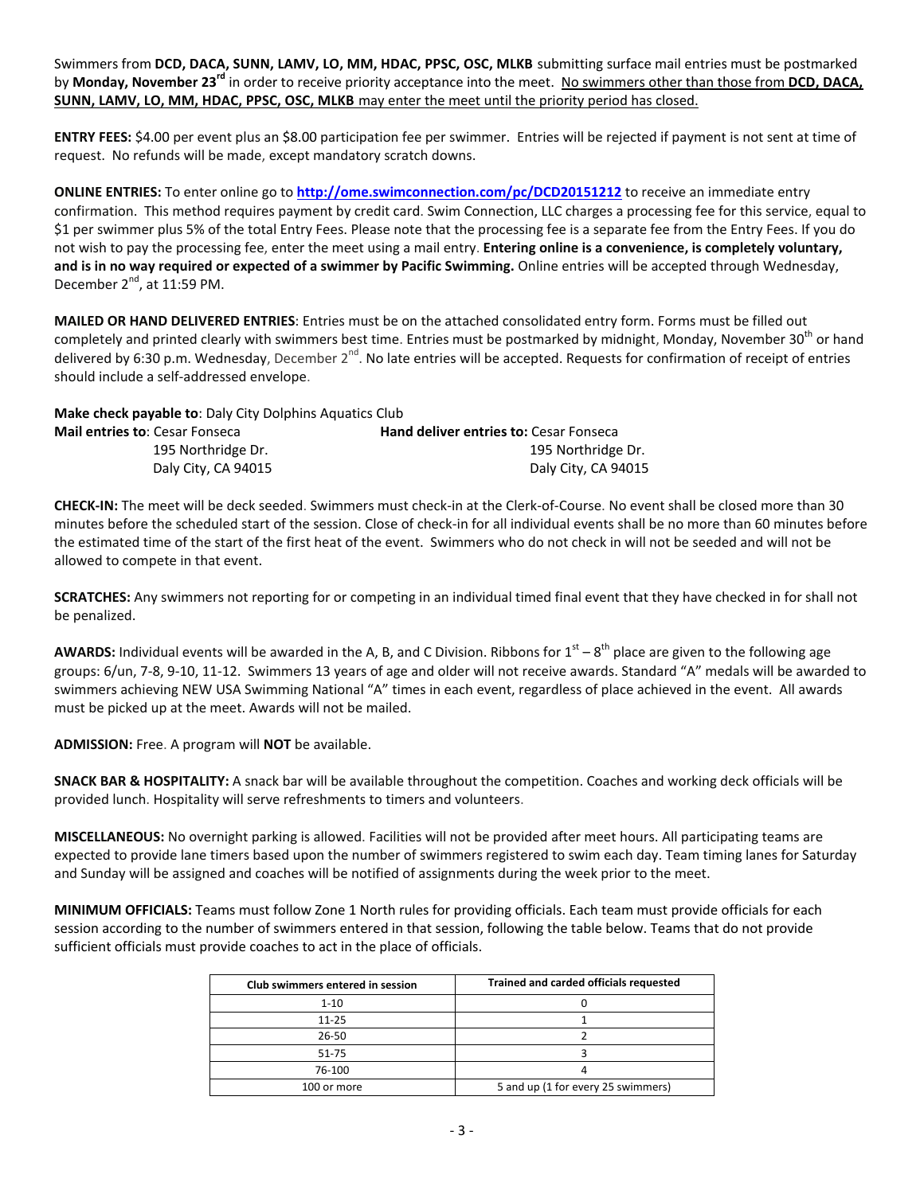Swimmers from **DCD, DACA, SUNN, LAMV, LO, MM, HDAC, PPSC, OSC, MLKB** submitting surface mail entries must be postmarked by **Monday, November 23<sup>rd</sup> in order to receive priority acceptance into the meet. No swimmers other than those from DCD, DACA, SUNN, LAMV, LO, MM, HDAC, PPSC, OSC, MLKB** may enter the meet until the priority period has closed.

**ENTRY FEES:** \$4.00 per event plus an \$8.00 participation fee per swimmer. Entries will be rejected if payment is not sent at time of request. No refunds will be made, except mandatory scratch downs.

**ONLINE ENTRIES:** To enter online go to **<http://ome.swimconnection.com/pc/DCD20151212>** to receive an immediate entry confirmation. This method requires payment by credit card. Swim Connection, LLC charges a processing fee for this service, equal to \$1 per swimmer plus 5% of the total Entry Fees. Please note that the processing fee is a separate fee from the Entry Fees. If you do not wish to pay the processing fee, enter the meet using a mail entry. **Entering online is a convenience, is completely voluntary, and is in no way required or expected of a swimmer by Pacific Swimming.** Online entries will be accepted through Wednesday, December  $2^{nd}$ , at 11:59 PM.

**MAILED OR HAND DELIVERED ENTRIES**: Entries must be on the attached consolidated entry form. Forms must be filled out completely and printed clearly with swimmers best time. Entries must be postmarked by midnight, Monday, November 30<sup>th</sup> or hand delivered by 6:30 p.m. Wednesday, December 2<sup>nd</sup>. No late entries will be accepted. Requests for confirmation of receipt of entries should include a self-addressed envelope.

| <b>Make check payable to: Daly City Dolphins Aquatics Club</b> |                                               |
|----------------------------------------------------------------|-----------------------------------------------|
| <b>Mail entries to: Cesar Fonseca</b>                          | <b>Hand deliver entries to: Cesar Fonseca</b> |
| 195 Northridge Dr.                                             | 195 Northridge Dr.                            |
| Daly City, CA 94015                                            | Daly City, CA 94015                           |

**CHECK-IN:** The meet will be deck seeded. Swimmers must check-in at the Clerk-of-Course. No event shall be closed more than 30 minutes before the scheduled start of the session. Close of check-in for all individual events shall be no more than 60 minutes before the estimated time of the start of the first heat of the event. Swimmers who do not check in will not be seeded and will not be allowed to compete in that event.

**SCRATCHES:** Any swimmers not reporting for or competing in an individual timed final event that they have checked in for shall not be penalized.

AWARDS: Individual events will be awarded in the A, B, and C Division. Ribbons for 1<sup>st</sup> – 8<sup>th</sup> place are given to the following age groups: 6/un, 7-8, 9-10, 11-12. Swimmers 13 years of age and older will not receive awards. Standard "A" medals will be awarded to swimmers achieving NEW USA Swimming National "A" times in each event, regardless of place achieved in the event. All awards must be picked up at the meet. Awards will not be mailed.

**ADMISSION:** Free. A program will **NOT** be available.

**SNACK BAR & HOSPITALITY:** A snack bar will be available throughout the competition. Coaches and working deck officials will be provided lunch. Hospitality will serve refreshments to timers and volunteers.

**MISCELLANEOUS:** No overnight parking is allowed. Facilities will not be provided after meet hours. All participating teams are expected to provide lane timers based upon the number of swimmers registered to swim each day. Team timing lanes for Saturday and Sunday will be assigned and coaches will be notified of assignments during the week prior to the meet.

**MINIMUM OFFICIALS:** Teams must follow Zone 1 North rules for providing officials. Each team must provide officials for each session according to the number of swimmers entered in that session, following the table below. Teams that do not provide sufficient officials must provide coaches to act in the place of officials.

| Club swimmers entered in session | Trained and carded officials requested |
|----------------------------------|----------------------------------------|
| $1 - 10$                         |                                        |
| $11 - 25$                        |                                        |
| 26-50                            |                                        |
| $51 - 75$                        |                                        |
| 76-100                           |                                        |
| 100 or more                      | 5 and up (1 for every 25 swimmers)     |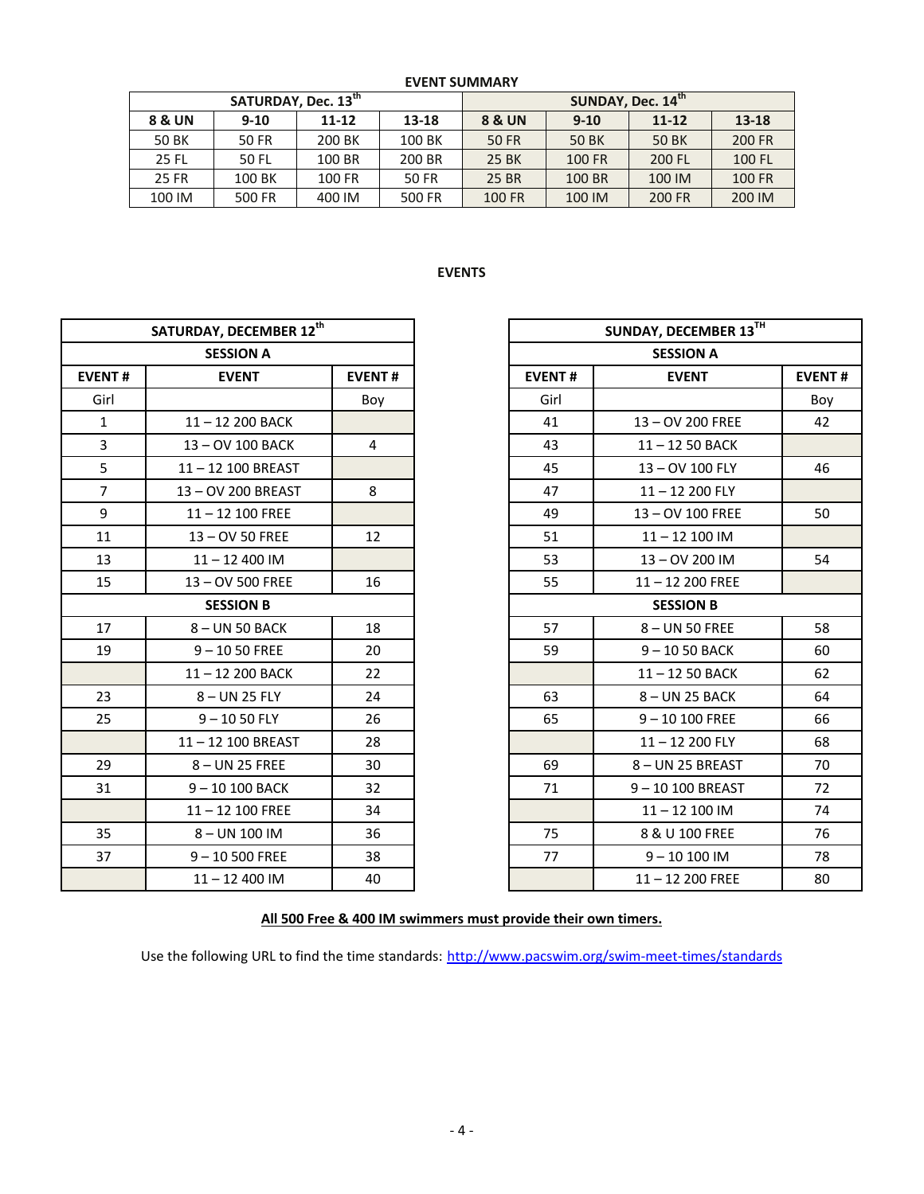|        | SATURDAY, Dec. 13 <sup>th</sup> |           |        | SUNDAY, Dec. 14th |          |           |               |  |  |
|--------|---------------------------------|-----------|--------|-------------------|----------|-----------|---------------|--|--|
| 8 & UN | $9-10$                          | $11 - 12$ | 13-18  | <b>8 &amp; UN</b> | $9 - 10$ | $11 - 12$ | 13-18         |  |  |
| 50 BK  | 50 FR                           | 200 BK    | 100 BK | <b>50 FR</b>      | 50 BK    | 50 BK     | 200 FR        |  |  |
| 25 FL  | 50 FL                           | 100 BR    | 200 BR | 25 BK             | 100 FR   | 200 FL    | 100 FL        |  |  |
| 25 FR  | 100 BK                          | 100 FR    | 50 FR  | <b>25 BR</b>      | 100 BR   | 100 IM    | <b>100 FR</b> |  |  |
| 100 IM | 500 FR                          | 400 IM    | 500 FR | 100 FR            | 100 IM   | 200 FR    | 200 IM        |  |  |

## **EVENTS**

| SATURDAY, DECEMBER 12th |                    |                |  |
|-------------------------|--------------------|----------------|--|
|                         | <b>SESSION A</b>   |                |  |
| <b>EVENT#</b>           | <b>EVENT</b>       | <b>EVENT#</b>  |  |
| Girl                    |                    | Boy            |  |
| $\mathbf{1}$            | 11-12 200 BACK     |                |  |
| $\overline{3}$          | 13-OV 100 BACK     | $\overline{4}$ |  |
| 5                       | 11-12 100 BREAST   |                |  |
| $\overline{7}$          | 13-OV 200 BREAST   | 8              |  |
| 9                       | $11 - 12$ 100 FREE |                |  |
| 11                      | 13 - OV 50 FREE    | 12             |  |
| 13                      | $11 - 12400$ IM    |                |  |
| 15                      | 13-OV 500 FREE     | 16             |  |
|                         | <b>SESSION B</b>   |                |  |
| 17                      | 8-UN 50 BACK       | 18             |  |
| 19                      | $9 - 1050$ FREE    | 20             |  |
|                         | 11-12 200 BACK     | 22             |  |
| 23                      | 8-UN 25 FLY        | 24             |  |
| 25                      | $9 - 1050$ FLY     | 26             |  |
|                         | 11-12 100 BREAST   | 28             |  |
| 29                      | 8-UN 25 FREE       | 30             |  |
| 31                      | 9-10 100 BACK      | 32             |  |
|                         | $11 - 12$ 100 FREE | 34             |  |
| 35                      | $8 - UN$ 100 IM    | 36             |  |
| 37                      | $9 - 10500$ FREE   | 38             |  |
|                         | $11 - 12400$ IM    | 40             |  |

|                             | SATURDAY, DECEMBER 12th |                |
|-----------------------------|-------------------------|----------------|
|                             | <b>SESSION A</b>        |                |
| NT#                         | <b>EVENT</b>            | <b>EVENT#</b>  |
| irl                         |                         | Boy            |
| $\mathbf{1}$                | 11-12 200 BACK          |                |
|                             | 13-OV 100 BACK          | $\overline{4}$ |
| $\frac{3}{5}$ $\frac{5}{7}$ | 11-12 100 BREAST        |                |
|                             | 13-OV 200 BREAST        | 8              |
| $\frac{9}{2}$               | $11 - 12$ 100 FREE      |                |
| L1                          | 13-OV 50 FREE           | 12             |
| L3                          | $11 - 12400$ IM         |                |
| L5                          | 13-OV 500 FREE          | 16             |
|                             | <b>SESSION B</b>        |                |
| L7                          | 8-UN 50 BACK            | 18             |
| L9                          | $9 - 1050$ FREE         | 20             |
|                             | 11-12 200 BACK          | 22             |
| $23 -$                      | 8-UN 25 FLY             | 24             |
| $25 -$                      | $9 - 1050$ FLY          | 26             |
|                             | 11-12 100 BREAST        | 28             |
| 29                          | 8-UN 25 FREE            | 30             |
| 31                          | 9-10 100 BACK           | 32             |
|                             | $11 - 12$ 100 FREE      | 34             |
| 35 <sub>1</sub>             | 8-UN 100 IM             | 36             |
| 37                          | $9 - 10500$ FREE        | 38             |
|                             | $11 - 12400$ IM         | 40             |

## **All 500 Free & 400 IM swimmers must provide their own timers.**

Use the following URL to find the time standards: <http://www.pacswim.org/swim-meet-times/standards>